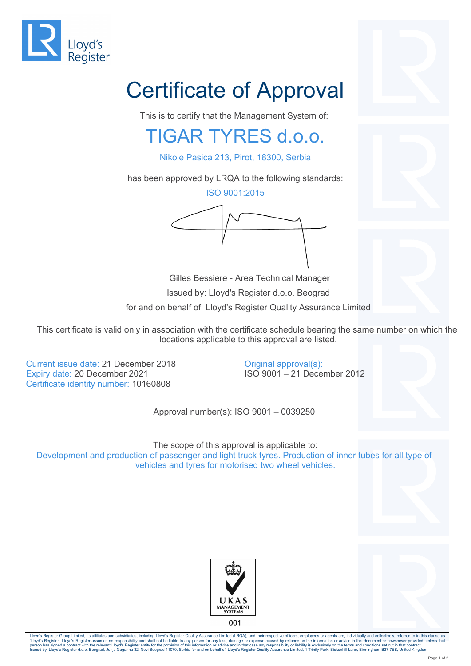

## Certificate of Approval

This is to certify that the Management System of:

## TIGAR TYRES d.o.o.

Nikole Pasica 213, Pirot, 18300, Serbia

has been approved by LRQA to the following standards:

ISO 9001:2015



 Gilles Bessiere - Area Technical Manager Issued by: Lloyd's Register d.o.o. Beograd for and on behalf of: Lloyd's Register Quality Assurance Limited

This certificate is valid only in association with the certificate schedule bearing the same number on which the locations applicable to this approval are listed.

> Original approval(s): ISO 9001 – 21 December 2012

Current issue date: 21 December 2018 Expiry date: 20 December 2021 Certificate identity number: 10160808

Approval number(s): ISO 9001 – 0039250

The scope of this approval is applicable to: Development and production of passenger and light truck tyres. Production of inner tubes for all type of vehicles and tyres for motorised two wheel vehicles.





Lloyd's Register Group Limited, its affiliates and subsidiaries, including Lloyd's Register Quality Assurance Limited (LRQA), and their respective officers, employees or agents are, individually and collectively, referred